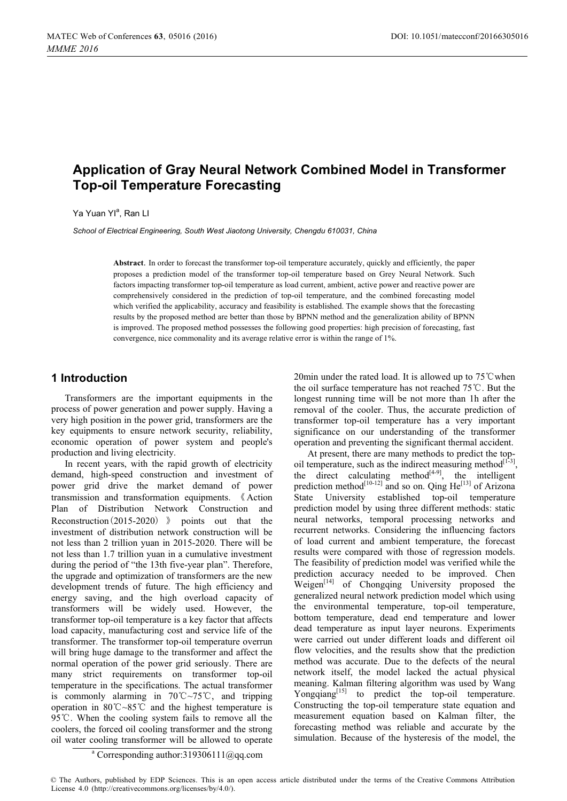# **Application of Gray Neural Network Combined Model in Transformer Top-oil Temperature Forecasting**

Ya Yuan Yl<sup>a</sup>. Ran Ll

*School of Electrical Engineering, South West Jiaotong University, Chengdu 610031, China* 

**Abstract**. In order to forecast the transformer top-oil temperature accurately, quickly and efficiently, the paper proposes a prediction model of the transformer top-oil temperature based on Grey Neural Network. Such factors impacting transformer top-oil temperature as load current, ambient, active power and reactive power are comprehensively considered in the prediction of top-oil temperature, and the combined forecasting model which verified the applicability, accuracy and feasibility is established. The example shows that the forecasting results by the proposed method are better than those by BPNN method and the generalization ability of BPNN is improved. The proposed method possesses the following good properties: high precision of forecasting, fast convergence, nice commonality and its average relative error is within the range of 1%.

### **1 Introduction**

Transformers are the important equipments in the process of power generation and power supply. Having a very high position in the power grid, transformers are the key equipments to ensure network security, reliability, economic operation of power system and people's production and living electricity.

In recent years, with the rapid growth of electricity demand, high-speed construction and investment of power grid drive the market demand of power transmission and transformation equipments. «Action Plan of Distribution Network Construction and Reconstruction  $(2015-2020)$   $\rightarrow$  points out that the investment of distribution network construction will be not less than 2 trillion yuan in 2015-2020. There will be not less than 1.7 trillion yuan in a cumulative investment during the period of "the 13th five-year plan". Therefore, the upgrade and optimization of transformers are the new development trends of future. The high efficiency and energy saving, and the high overload capacity of transformers will be widely used. However, the transformer top-oil temperature is a key factor that affects load capacity, manufacturing cost and service life of the transformer. The transformer top-oil temperature overrun will bring huge damage to the transformer and affect the normal operation of the power grid seriously. There are many strict requirements on transformer top-oil temperature in the specifications. The actual transformer is commonly alarming in  $70^{\circ}C \sim 75^{\circ}C$ , and tripping operation in  $80^{\circ}$ C $\sim$ 85<sup> $\circ$ </sup>C and the highest temperature is 95 $^{\circ}$ C. When the cooling system fails to remove all the coolers, the forced oil cooling transformer and the strong oil water cooling transformer will be allowed to operate

20min under the rated load. It is allowed up to  $75^{\circ}$ C when the oil surface temperature has not reached  $75^{\circ}$ C. But the longest running time will be not more than 1h after the removal of the cooler. Thus, the accurate prediction of transformer top-oil temperature has a very important significance on our understanding of the transformer operation and preventing the significant thermal accident.

At present, there are many methods to predict the topoil temperature, such as the indirect measuring method $[1^{1\text{-}3}]$ . the direct calculating method $[4-9]$ , the intelligent prediction method<sup>[10-12]</sup> and so on. Qing  $He^{[13]}$  of Arizona State University established top-oil temperature prediction model by using three different methods: static neural networks, temporal processing networks and recurrent networks. Considering the influencing factors of load current and ambient temperature, the forecast results were compared with those of regression models. The feasibility of prediction model was verified while the prediction accuracy needed to be improved. Chen Weigen<sup>[14]</sup> of Chongqing University proposed the generalized neural network prediction model which using the environmental temperature, top-oil temperature, bottom temperature, dead end temperature and lower dead temperature as input layer neurons. Experiments were carried out under different loads and different oil flow velocities, and the results show that the prediction method was accurate. Due to the defects of the neural network itself, the model lacked the actual physical meaning. Kalman filtering algorithm was used by Wang Yongqiang $[15]$  to predict the top-oil temperature. Constructing the top-oil temperature state equation and measurement equation based on Kalman filter, the forecasting method was reliable and accurate by the simulation. Because of the hysteresis of the model, the

a Corresponding author:319306111@qq.com

<sup>©</sup> The Authors, published by EDP Sciences. This is an open access article distributed under the terms of the Creative Commons Attribution License 4.0 ([http://creativecommons.org/licenses/by/4.0/\).](http://creativecommons.org/licenses/by/4.0/)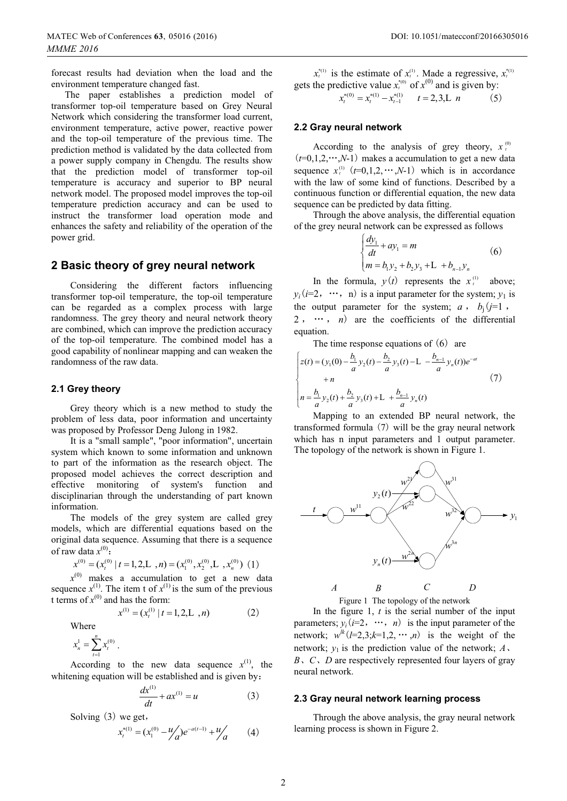forecast results had deviation when the load and the environment temperature changed fast.

The paper establishes a prediction model of transformer top-oil temperature based on Grey Neural Network which considering the transformer load current, environment temperature, active power, reactive power and the top-oil temperature of the previous time. The prediction method is validated by the data collected from a power supply company in Chengdu. The results show that the prediction model of transformer top-oil temperature is accuracy and superior to BP neural network model. The proposed model improves the top-oil temperature prediction accuracy and can be used to instruct the transformer load operation mode and enhances the safety and reliability of the operation of the power grid.

### **2 Basic theory of grey neural network**

Considering the different factors influencing transformer top-oil temperature, the top-oil temperature can be regarded as a complex process with large randomness. The grey theory and neural network theory are combined, which can improve the prediction accuracy of the top-oil temperature. The combined model has a good capability of nonlinear mapping and can weaken the randomness of the raw data.

### **2.1 Grey theory**

Grey theory which is a new method to study the problem of less data, poor information and uncertainty was proposed by Professor Deng Julong in 1982.

It is a "small sample", "poor information", uncertain system which known to some information and unknown to part of the information as the research object. The proposed model achieves the correct description and effective monitoring of system's function and disciplinarian through the understanding of part known information.

The models of the grey system are called grey models, which are differential equations based on the original data sequence. Assuming that there is a sequence of raw data  $x^{(0)}$ :

$$
x^{(0)} = (x_t^{(0)} \mid t = 1, 2, L, n) = (x_1^{(0)}, x_2^{(0)}, L, x_n^{(0)}) \tag{1}
$$

 $x^{(0)}$  makes a accumulation to get a new data sequence  $x^{(1)}$ . The item t of  $x^{(1)}$  is the sum of the previous t terms of  $x^{(0)}$  and has the form:

$$
x^{(1)} = (x_t^{(1)} \mid t = 1, 2, L \, , n) \tag{2}
$$

Where

$$
x_n^1 = \sum_{t=1}^n x_t^{(0)}.
$$

According to the new data sequence  $x^{(1)}$ , the whitening equation will be established and is given by:

$$
\frac{dx^{(1)}}{dt} + ax^{(1)} = u \tag{3}
$$

Solving  $(3)$  we get,

$$
x_t^{*(1)} = (x_1^{(0)} - \frac{u}{a})e^{-a(t-1)} + \frac{u}{a}
$$
 (4)

 $x_t^{*(1)}$  is the estimate of  $x_t^{(1)}$ . Made a regressive,  $x_t^{*(1)}$ gets the predictive value  $x_t^{(0)}$  of  $x^{(0)}$  and is given by:

 $x_t^{*(0)} = x_t^{*(1)} - x_{t-1}^{*(1)}$   $t = 2, 3, L \t n$  (5)

#### **2.2 Gray neural network**

According to the analysis of grey theory,  $x_t^0$  $(t=0,1,2,\dots,N-1)$  makes a accumulation to get a new data sequence  $x_t^{(1)}$   $(t=0,1,2,\dots,N-1)$  which is in accordance with the law of some kind of functions. Described by a continuous function or differential equation, the new data sequence can be predicted by data fitting.

Through the above analysis, the differential equation of the grey neural network can be expressed as follows

$$
\begin{cases} \frac{dy_1}{dt} + ay_1 = m \\ m = b_1 y_2 + b_2 y_3 + L + b_{n-1} y_n \end{cases} (6)
$$

In the formula,  $y(t)$  represents the  $x_t^{(1)}$  above;  $y_i$  (*i*=2,  $\cdots$ , *n*) is a input parameter for the system; *y*<sub>1</sub> is the output parameter for the system; *a* ,  $b_i$  (*j*=1,  $2, \dots, n$  are the coefficients of the differential equation.

The time response equations of  $(6)$  are

$$
\begin{cases}\nz(t) = (y_1(0) - \frac{b_1}{a}y_2(t) - \frac{b_2}{a}y_3(t) - L - \frac{b_{n-1}}{a}y_n(t))e^{-at} \\
+ n \\
n = \frac{b_1}{a}y_2(t) + \frac{b_2}{a}y_3(t) + L + \frac{b_{n-1}}{a}y_n(t)\n\end{cases} \tag{7}
$$

Mapping to an extended BP neural network, the transformed formula  $(7)$  will be the gray neural network which has n input parameters and 1 output parameter. The topology of the network is shown in Figure 1.



Figure 1 The topology of the network

In the figure 1, *t* is the serial number of the input parameters;  $y_i$  (*i*=2,  $\cdots$ , *n*) is the input parameter of the network;  $w^{ik}$  ( $l=2,3; k=1,2,\cdots,n$ ) is the weight of the network;  $y_1$  is the prediction value of the network;  $A_2$ , *B*, *C*, *D* are respectively represented four layers of gray neural network.

#### **2.3 Gray neural network learning process**

Through the above analysis, the gray neural network learning process is shown in Figure 2.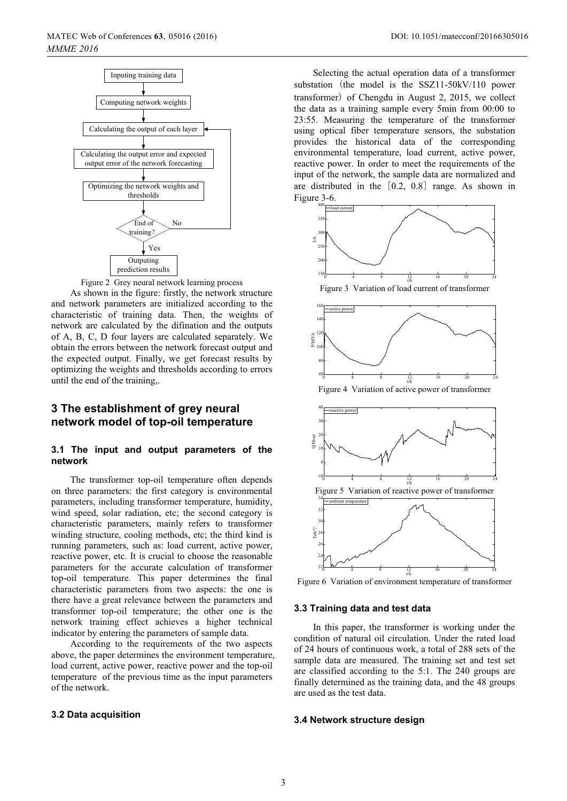

Figure 2 Grey neural network learning process

As shown in the figure: firstly, the network structure and network parameters are initialized according to the characteristic of training data. Then, the weights of network are calculated by the difination and the outputs of A, B, C, D four layers are calculated separately. We obtain the errors between the network forecast output and the expected output. Finally, we get forecast results by optimizing the weights and thresholds according to errors until the end of the training,.

### **3 The establishment of grey neural network model of top-oil temperature**

### **3.1 The input and output parameters of the network**

The transformer top-oil temperature often depends on three parameters: the first category is environmental parameters, including transformer temperature, humidity, wind speed, solar radiation, etc; the second category is characteristic parameters, mainly refers to transformer winding structure, cooling methods, etc; the third kind is running parameters, such as: load current, active power, reactive power, etc. It is crucial to choose the reasonable parameters for the accurate calculation of transformer top-oil temperature. This paper determines the final characteristic parameters from two aspects: the one is there have a great relevance between the parameters and transformer top-oil temperature; the other one is the network training effect achieves a higher technical indicator by entering the parameters of sample data.

According to the requirements of the two aspects above, the paper determines the environment temperature, load current, active power, reactive power and the top-oil temperature of the previous time as the input parameters of the network.

#### **3.2 Data acquisition**

Selecting the actual operation data of a transformer substation (the model is the  $SSZ11-50kV/110$  power transformer) of Chengdu in August 2, 2015, we collect the data as a training sample every 5min from 00:00 to 23:55. Measuring the temperature of the transformer using optical fiber temperature sensors, the substation provides the historical data of the corresponding environmental temperature, load current, active power, reactive power. In order to meet the requirements of the input of the network, the sample data are normalized and are distributed in the  $[0.2, 0.8]$  range. As shown in Figure 3-6.



Figure 3 Variation of load current of transformer



Figure 4 Variation of active power of transformer



Figure 6 Variation of environment temperature of transformer

### **3.3 Training data and test data**

In this paper, the transformer is working under the condition of natural oil circulation. Under the rated load of 24 hours of continuous work, a total of 288 sets of the sample data are measured. The training set and test set are classified according to the 5:1. The 240 groups are finally determined as the training data, and the 48 groups are used as the test data.

#### **3.4 Network structure design**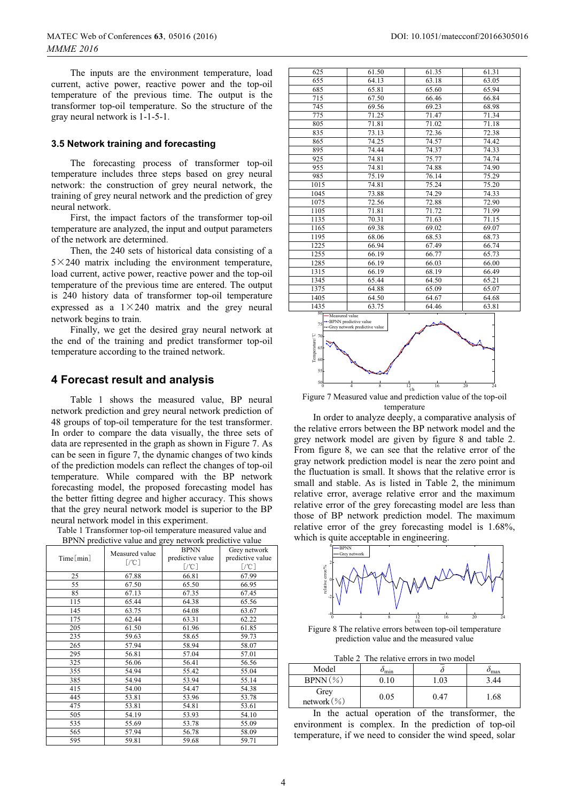The inputs are the environment temperature, load current, active power, reactive power and the top-oil temperature of the previous time. The output is the transformer top-oil temperature. So the structure of the gray neural network is 1-1-5-1.

#### **3.5 Network training and forecasting**

The forecasting process of transformer top-oil temperature includes three steps based on grey neural network: the construction of grey neural network, the training of grey neural network and the prediction of grey neural network.

First, the impact factors of the transformer top-oil temperature are analyzed, the input and output parameters of the network are determined.

Then, the 240 sets of historical data consisting of a  $5 \times 240$  matrix including the environment temperature, load current, active power, reactive power and the top-oil temperature of the previous time are entered. The output is 240 history data of transformer top-oil temperature expressed as a  $1\times240$  matrix and the grey neural network begins to train.

Finally, we get the desired gray neural network at the end of the training and predict transformer top-oil temperature according to the trained network.

### **4 Forecast result and analysis**

Table 1 shows the measured value, BP neural network prediction and grey neural network prediction of 48 groups of top-oil temperature for the test transformer. In order to compare the data visually, the three sets of data are represented in the graph as shown in Figure 7. As can be seen in figure 7, the dynamic changes of two kinds of the prediction models can reflect the changes of top-oil temperature. While compared with the BP network forecasting model, the proposed forecasting model has the better fitting degree and higher accuracy. This shows that the grey neural network model is superior to the BP neural network model in this experiment.

| Table 1 Transformer top-oil temperature measured value and |
|------------------------------------------------------------|
| BPNN predictive value and grey network predictive value    |

| Time[min] | Measured value<br>$[/^{\circ}\mathrm{C}]$ | <b>BPNN</b><br>predictive value | Grey network<br>predictive value |
|-----------|-------------------------------------------|---------------------------------|----------------------------------|
|           |                                           | $[$ /°C]                        | $[$ /°C]                         |
| 25        | 67.88                                     | 66.81                           | 67.99                            |
| 55        | 67.50                                     | 65.50                           | 66.95                            |
| 85        | 67.13                                     | 67.35                           | 67.45                            |
| 115       | 65.44                                     | 64.38                           | 65.56                            |
| 145       | 63.75                                     | 64.08                           | 63.67                            |
| 175       | 62.44                                     | 63.31                           | 62.22                            |
| 205       | 61.50                                     | 61.96                           | 61.85                            |
| 235       | 59.63                                     | 58.65                           | 59.73                            |
| 265       | 57.94                                     | 58.94                           | 58.07                            |
| 295       | 56.81                                     | 57.04                           | 57.01                            |
| 325       | 56.06                                     | 56.41                           | 56.56                            |
| 355       | 54.94                                     | 55.42                           | 55.04                            |
| 385       | 54.94                                     | 53.94                           | 55.14                            |
| 415       | 54.00                                     | 54.47                           | 54.38                            |
| 445       | 53.81                                     | 53.96                           | 53.78                            |
| 475       | 53.81                                     | 54.81                           | 53.61                            |
| 505       | 54.19                                     | 53.93                           | 54.10                            |
| 535       | 55.69                                     | 53.78                           | 55.09                            |
| 565       | 57.94                                     | 56.78                           | 58.09                            |
| 595       | 59.81                                     | 59.68                           | 59.71                            |

| 625                                                                                                                        | 61.50                                                        | 61.35 | 61.31 |
|----------------------------------------------------------------------------------------------------------------------------|--------------------------------------------------------------|-------|-------|
| 655                                                                                                                        | 64.13                                                        | 63.18 | 63.05 |
| 685                                                                                                                        | 65.81                                                        | 65.60 | 65.94 |
| 715                                                                                                                        | 67.50                                                        | 66.46 | 66.84 |
| 745                                                                                                                        | 69.56                                                        | 69.23 | 68.98 |
| 775                                                                                                                        | 71.25                                                        | 71.47 | 71.34 |
| 805                                                                                                                        | 71.81                                                        | 71.02 | 71.18 |
| 835                                                                                                                        | 73.13                                                        | 72.36 | 72.38 |
| 865                                                                                                                        | 74.25                                                        | 74.57 | 74.42 |
| 895                                                                                                                        | 74.44                                                        | 74.37 | 74.33 |
| 925                                                                                                                        | 74.81                                                        | 75.77 | 74.74 |
| 955                                                                                                                        | 74.81                                                        | 74.88 | 74.90 |
| 985                                                                                                                        | 75.19                                                        | 76.14 | 75.29 |
| 1015                                                                                                                       | 74.81                                                        | 75.24 | 75.20 |
| 1045                                                                                                                       | 73.88                                                        | 74.29 | 74.33 |
| 1075                                                                                                                       | 72.56                                                        | 72.88 | 72.90 |
| 1105                                                                                                                       | 71.81                                                        | 71.72 | 71.99 |
| 1135                                                                                                                       | 70.31                                                        | 71.63 | 71.15 |
| 1165                                                                                                                       | 69.38                                                        | 69.02 | 69.07 |
| 1195                                                                                                                       | 68.06                                                        | 68.53 | 68.73 |
| 1225                                                                                                                       | 66.94                                                        | 67.49 | 66.74 |
| 1255                                                                                                                       | 66.19                                                        | 66.77 | 65.73 |
| 1285                                                                                                                       | 66.19                                                        | 66.03 | 66.00 |
| 1315                                                                                                                       | 66.19                                                        | 68.19 | 66.49 |
| 1345                                                                                                                       | 65.44                                                        | 64.50 | 65.21 |
| 1375                                                                                                                       | 64.88                                                        | 65.09 | 65.07 |
| 1405                                                                                                                       | 64.50                                                        | 64.67 | 64.68 |
| 1435                                                                                                                       | 63.75                                                        | 64.46 | 63.81 |
| 80<br>Measured value<br>75<br>$\begin{array}{ll} \text{Temperature}^{\text{2}}\\ \text{S} & \text{S} \\ \end{array}$<br>55 | • BPNN predictive value<br>--- Grey network predictive value |       |       |

 $50$   $4$   $8$   $12$   $16$   $20$   $24$  $12<sub>n</sub>$ Figure 7 Measured value and prediction value of the top-oil temperature

In order to analyze deeply, a comparative analysis of the relative errors between the BP network model and the grey network model are given by figure 8 and table 2. From figure 8, we can see that the relative error of the gray network prediction model is near the zero point and the fluctuation is small. It shows that the relative error is small and stable. As is listed in Table 2, the minimum relative error, average relative error and the maximum relative error of the grey forecasting model are less than those of BP network prediction model. The maximum relative error of the grey forecasting model is 1.68%, which is quite acceptable in engineering.



Figure 8 The relative errors between top-oil temperature prediction value and the measured value

Table 2 The relative errors in two model

| Model               | $\sigma_{\rm min}$ |      | $\omega_{\rm max}$ |  |  |
|---------------------|--------------------|------|--------------------|--|--|
| $BPNN(\%)$          | 0.10               | . 03 | 3.44               |  |  |
| Grey<br>network (%) | 0.05               | 0.47 | 1.68               |  |  |

In the actual operation of the transformer, the environment is complex. In the prediction of top-oil temperature, if we need to consider the wind speed, solar